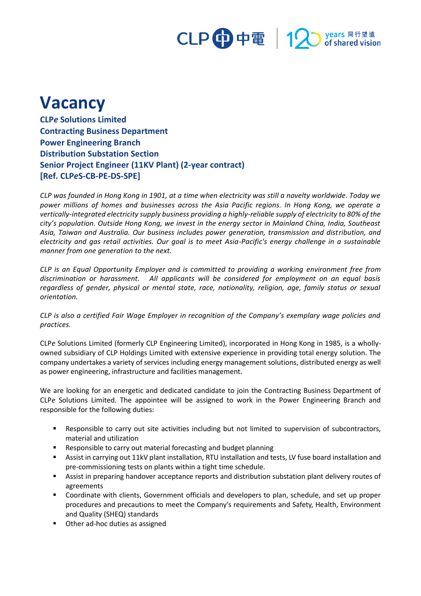## CLP 中電 | 12 years 同行望遠<br>pof shared vision

## **Vacancy**

**CLP***e* **Solutions Limited Contracting Business Department Power Engineering Branch Distribution Substation Section Senior Project Engineer (11KV Plant) (2-year contract) [Ref. CLP***e***S-CB-PE-DS-SPE]**

*CLP was founded in Hong Kong in 1901, at a time when electricity was still a novelty worldwide. Today we power millions of homes and businesses across the Asia Pacific regions. In Hong Kong, we operate a vertically-integrated electricity supply business providing a highly-reliable supply of electricity to 80% of the city's population. Outside Hong Kong, we invest in the energy sector in Mainland China, India, Southeast Asia, Taiwan and Australia. Our business includes power generation, transmission and distribution, and electricity and gas retail activities. Our goal is to meet Asia-Pacific's energy challenge in a sustainable manner from one generation to the next.*

*CLP is an Equal Opportunity Employer and is committed to providing a working environment free from discrimination or harassment. All applicants will be considered for employment on an equal basis regardless of gender, physical or mental state, race, nationality, religion, age, family status or sexual orientation.*

*CLP is also a certified Fair Wage Employer in recognition of the Company's exemplary wage policies and practices.*

CLP*e* Solutions Limited (formerly CLP Engineering Limited), incorporated in Hong Kong in 1985, is a whollyowned subsidiary of CLP Holdings Limited with extensive experience in providing total energy solution. The company undertakes a variety of services including energy management solutions, distributed energy as well as power engineering, infrastructure and facilities management.

We are looking for an energetic and dedicated candidate to join the Contracting Business Department of CLP*e* Solutions Limited. The appointee will be assigned to work in the Power Engineering Branch and responsible for the following duties:

- Responsible to carry out site activities including but not limited to supervision of subcontractors, material and utilization
- Responsible to carry out material forecasting and budget planning
- Assist in carrying out 11kV plant installation, RTU installation and tests, LV fuse board installation and pre-commissioning tests on plants within a tight time schedule.
- **EXECT:** Assist in preparing handover acceptance reports and distribution substation plant delivery routes of agreements
- Coordinate with clients, Government officials and developers to plan, schedule, and set up proper procedures and precautions to meet the Company's requirements and Safety, Health, Environment and Quality (SHEQ) standards
- Other ad-hoc duties as assigned